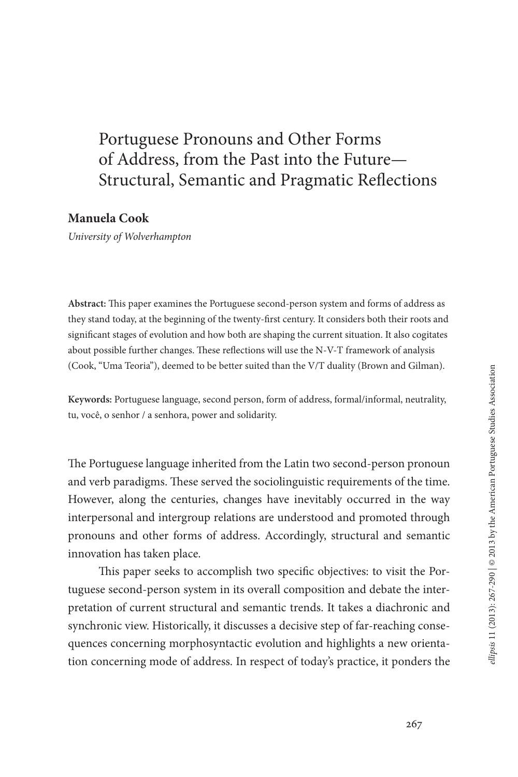# Portuguese Pronouns and Other Forms of Address, from the Past into the Future— Structural, Semantic and Pragmatic Reflections

# **Manuela Cook**

*University of Wolverhampton*

**Abstract:** This paper examines the Portuguese second-person system and forms of address as they stand today, at the beginning of the twenty-first century. It considers both their roots and significant stages of evolution and how both are shaping the current situation. It also cogitates about possible further changes. These reflections will use the N-V-T framework of analysis (Cook, "Uma Teoria"), deemed to be better suited than the V/T duality (Brown and Gilman).

**Keywords:** Portuguese language, second person, form of address, formal/informal, neutrality, tu, você, o senhor / a senhora, power and solidarity.

The Portuguese language inherited from the Latin two second-person pronoun and verb paradigms. These served the sociolinguistic requirements of the time. However, along the centuries, changes have inevitably occurred in the way interpersonal and intergroup relations are understood and promoted through pronouns and other forms of address. Accordingly, structural and semantic innovation has taken place.

This paper seeks to accomplish two specific objectives: to visit the Portuguese second-person system in its overall composition and debate the interpretation of current structural and semantic trends. It takes a diachronic and synchronic view. Historically, it discusses a decisive step of far-reaching consequences concerning morphosyntactic evolution and highlights a new orientation concerning mode of address. In respect of today's practice, it ponders the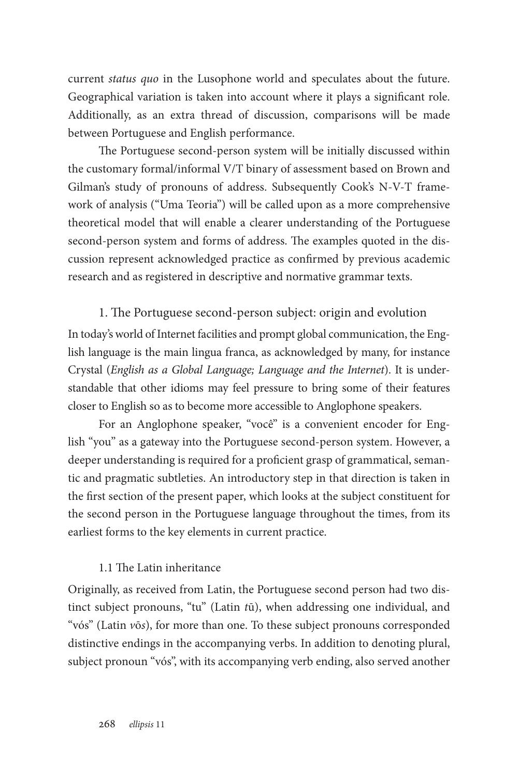current *status quo* in the Lusophone world and speculates about the future. Geographical variation is taken into account where it plays a significant role. Additionally, as an extra thread of discussion, comparisons will be made between Portuguese and English performance.

The Portuguese second-person system will be initially discussed within the customary formal/informal V/T binary of assessment based on Brown and Gilman's study of pronouns of address. Subsequently Cook's N-V-T framework of analysis ("Uma Teoria") will be called upon as a more comprehensive theoretical model that will enable a clearer understanding of the Portuguese second-person system and forms of address. The examples quoted in the discussion represent acknowledged practice as confirmed by previous academic research and as registered in descriptive and normative grammar texts.

1. The Portuguese second-person subject: origin and evolution

In today's world of Internet facilities and prompt global communication, the English language is the main lingua franca, as acknowledged by many, for instance Crystal (*English as a Global Language; Language and the Internet*). It is understandable that other idioms may feel pressure to bring some of their features closer to English so as to become more accessible to Anglophone speakers.

For an Anglophone speaker, "você" is a convenient encoder for English "you" as a gateway into the Portuguese second-person system. However, a deeper understanding is required for a proficient grasp of grammatical, semantic and pragmatic subtleties. An introductory step in that direction is taken in the first section of the present paper, which looks at the subject constituent for the second person in the Portuguese language throughout the times, from its earliest forms to the key elements in current practice.

#### 1.1 The Latin inheritance

Originally, as received from Latin, the Portuguese second person had two distinct subject pronouns, "tu" (Latin *t*ū), when addressing one individual, and "vós" (Latin *v*ō*s*), for more than one. To these subject pronouns corresponded distinctive endings in the accompanying verbs. In addition to denoting plural, subject pronoun "vós", with its accompanying verb ending, also served another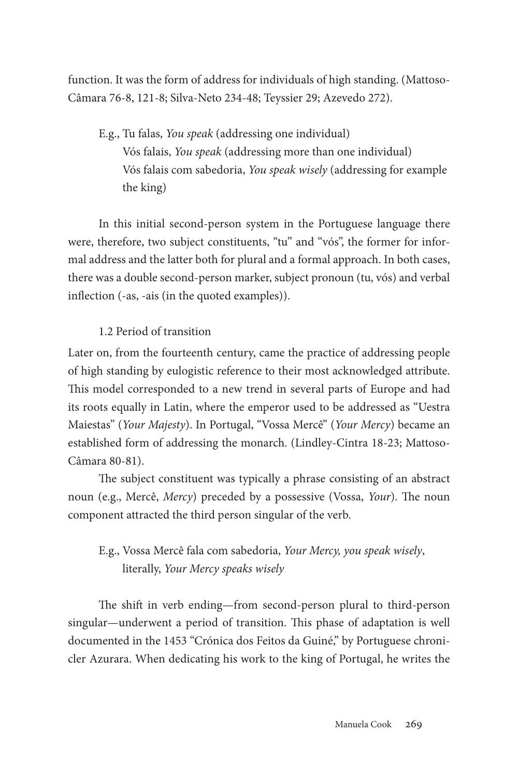function. It was the form of address for individuals of high standing. (Mattoso-Câmara 76-8, 121-8; Silva-Neto 234-48; Teyssier 29; Azevedo 272).

E.g., Tu falas, *You speak* (addressing one individual) Vós falais, *You speak* (addressing more than one individual) Vós falais com sabedoria, *You speak wisely* (addressing for example the king)

In this initial second-person system in the Portuguese language there were, therefore, two subject constituents, "tu" and "vós", the former for informal address and the latter both for plural and a formal approach. In both cases, there was a double second-person marker, subject pronoun (tu, vós) and verbal inflection (-as, -ais (in the quoted examples)).

# 1.2 Period of transition

Later on, from the fourteenth century, came the practice of addressing people of high standing by eulogistic reference to their most acknowledged attribute. This model corresponded to a new trend in several parts of Europe and had its roots equally in Latin, where the emperor used to be addressed as "Uestra Maiestas" (*Your Majesty*). In Portugal, "Vossa Mercê" (*Your Mercy*) became an established form of addressing the monarch. (Lindley-Cintra 18-23; Mattoso-Câmara 80-81).

The subject constituent was typically a phrase consisting of an abstract noun (e.g., Mercê, *Mercy*) preceded by a possessive (Vossa, *Your*). The noun component attracted the third person singular of the verb.

# E.g., Vossa Mercê fala com sabedoria, *Your Mercy, you speak wisely*, literally, *Your Mercy speaks wisely*

The shift in verb ending—from second-person plural to third-person singular—underwent a period of transition. This phase of adaptation is well documented in the 1453 "Crónica dos Feitos da Guiné," by Portuguese chronicler Azurara. When dedicating his work to the king of Portugal, he writes the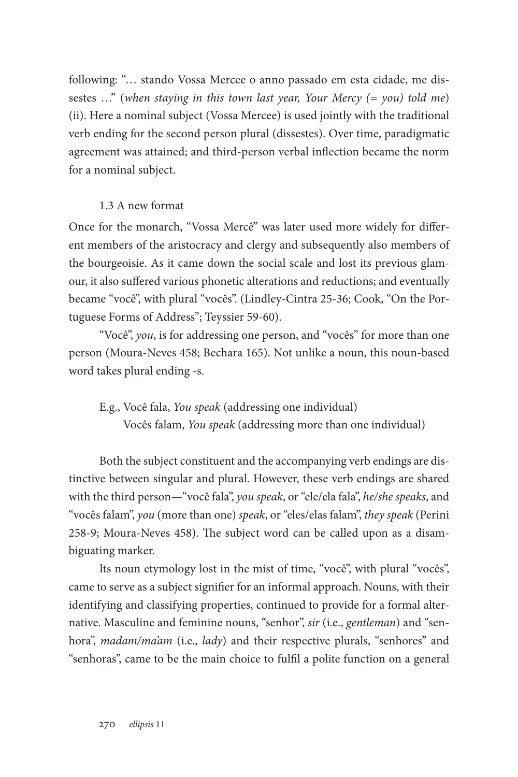following: "… stando Vossa Mercee o anno passado em esta cidade, me dissestes …" (*when staying in this town last year, Your Mercy (= you) told me*) (ii). Here a nominal subject (Vossa Mercee) is used jointly with the traditional verb ending for the second person plural (dissestes). Over time, paradigmatic agreement was attained; and third-person verbal inflection became the norm for a nominal subject.

#### 1.3 A new format

Once for the monarch, "Vossa Mercê" was later used more widely for different members of the aristocracy and clergy and subsequently also members of the bourgeoisie. As it came down the social scale and lost its previous glamour, it also suffered various phonetic alterations and reductions; and eventually became "você", with plural "vocês". (Lindley-Cintra 25-36; Cook, "On the Portuguese Forms of Address"; Teyssier 59-60).

"Você", *you*, is for addressing one person, and "vocês" for more than one person (Moura-Neves 458; Bechara 165). Not unlike a noun, this noun-based word takes plural ending -s.

E.g., Você fala, *You speak* (addressing one individual) Vocês falam, *You speak* (addressing more than one individual)

Both the subject constituent and the accompanying verb endings are distinctive between singular and plural. However, these verb endings are shared with the third person—"você fala", *you speak*, or "ele/ela fala", *he/she speaks*, and "vocês falam", *you* (more than one) *speak*, or "eles/elas falam", *they speak* (Perini 258-9; Moura-Neves 458). The subject word can be called upon as a disambiguating marker.

Its noun etymology lost in the mist of time, "você", with plural "vocês", came to serve as a subject signifier for an informal approach. Nouns, with their identifying and classifying properties, continued to provide for a formal alternative. Masculine and feminine nouns, "senhor", *sir* (i.e., *gentleman*) and "senhora", *madam/ma'am* (i.e., *lady*) and their respective plurals, "senhores" and "senhoras", came to be the main choice to fulfil a polite function on a general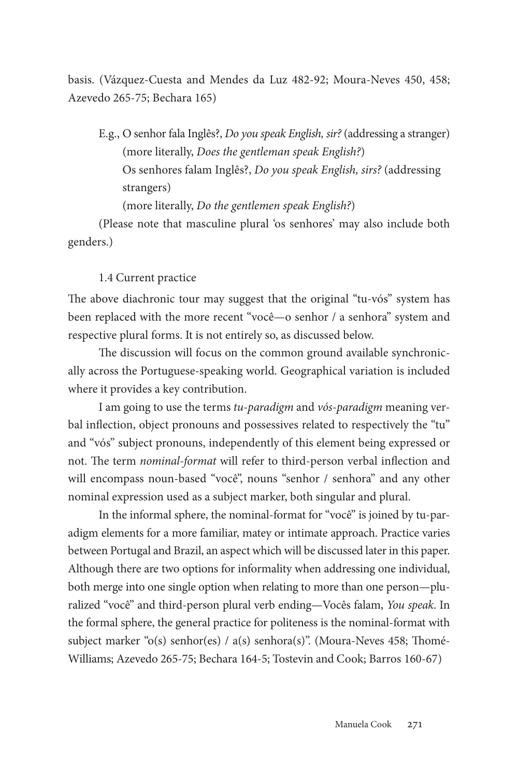basis. (Vázquez-Cuesta and Mendes da Luz 482-92; Moura-Neves 450, 458; Azevedo 265-75; Bechara 165)

E.g., O senhor fala Inglês?, *Do you speak English, sir?* (addressing a stranger) (more literally, *Does the gentleman speak English?*) Os senhores falam Inglês?, *Do you speak English, sirs?* (addressing strangers)

(more literally, *Do the gentlemen speak English?*)

(Please note that masculine plural 'os senhores' may also include both genders.)

1.4 Current practice

The above diachronic tour may suggest that the original "tu-vós" system has been replaced with the more recent "você—o senhor / a senhora" system and respective plural forms. It is not entirely so, as discussed below.

The discussion will focus on the common ground available synchronically across the Portuguese-speaking world. Geographical variation is included where it provides a key contribution.

I am going to use the terms *tu-paradigm* and *vós-paradigm* meaning verbal inflection, object pronouns and possessives related to respectively the "tu" and "vós" subject pronouns, independently of this element being expressed or not. The term *nominal-format* will refer to third-person verbal inflection and will encompass noun-based "você", nouns "senhor / senhora" and any other nominal expression used as a subject marker, both singular and plural.

In the informal sphere, the nominal-format for "você" is joined by tu-paradigm elements for a more familiar, matey or intimate approach. Practice varies between Portugal and Brazil, an aspect which will be discussed later in this paper. Although there are two options for informality when addressing one individual, both merge into one single option when relating to more than one person—pluralized "você" and third-person plural verb ending—Vocês falam, *You speak*. In the formal sphere, the general practice for politeness is the nominal-format with subject marker "o(s) senhor(es) / a(s) senhora(s)". (Moura-Neves 458; Thomé-Williams; Azevedo 265-75; Bechara 164-5; Tostevin and Cook; Barros 160-67)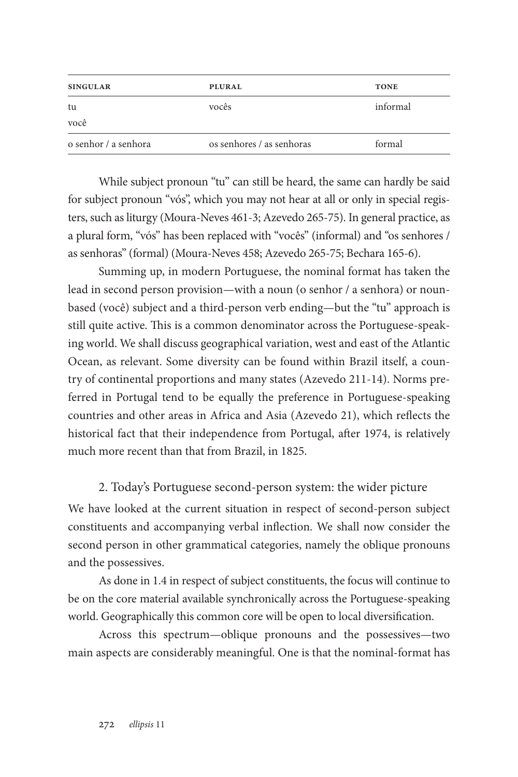| <b>PLURAL</b>             | <b>TONE</b> |
|---------------------------|-------------|
| vocês                     | informal    |
|                           |             |
| os senhores / as senhoras | formal      |
|                           |             |

While subject pronoun "tu" can still be heard, the same can hardly be said for subject pronoun "vós", which you may not hear at all or only in special registers, such as liturgy (Moura-Neves 461-3; Azevedo 265-75). In general practice, as a plural form, "vós" has been replaced with "vocês" (informal) and "os senhores / as senhoras" (formal) (Moura-Neves 458; Azevedo 265-75; Bechara 165-6).

Summing up, in modern Portuguese, the nominal format has taken the lead in second person provision—with a noun (o senhor / a senhora) or nounbased (você) subject and a third-person verb ending—but the "tu" approach is still quite active. This is a common denominator across the Portuguese-speaking world. We shall discuss geographical variation, west and east of the Atlantic Ocean, as relevant. Some diversity can be found within Brazil itself, a country of continental proportions and many states (Azevedo 211-14). Norms preferred in Portugal tend to be equally the preference in Portuguese-speaking countries and other areas in Africa and Asia (Azevedo 21), which reflects the historical fact that their independence from Portugal, after 1974, is relatively much more recent than that from Brazil, in 1825.

# 2. Today's Portuguese second-person system: the wider picture

We have looked at the current situation in respect of second-person subject constituents and accompanying verbal inflection. We shall now consider the second person in other grammatical categories, namely the oblique pronouns and the possessives.

As done in 1.4 in respect of subject constituents, the focus will continue to be on the core material available synchronically across the Portuguese-speaking world. Geographically this common core will be open to local diversification.

Across this spectrum—oblique pronouns and the possessives—two main aspects are considerably meaningful. One is that the nominal-format has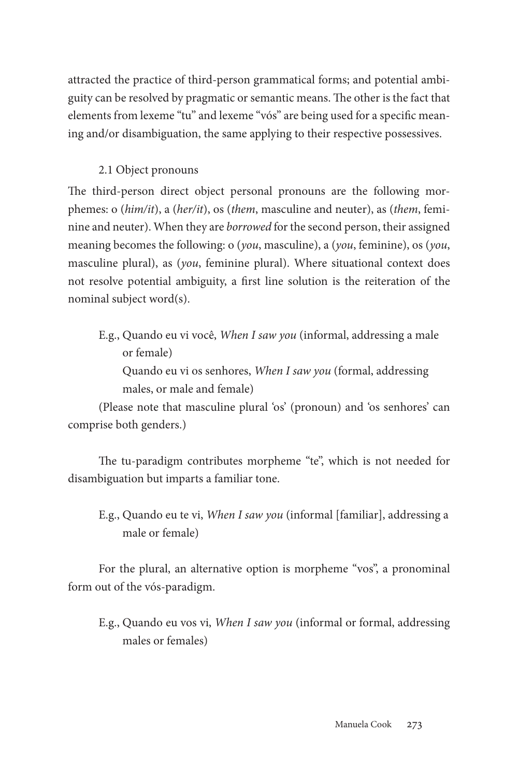attracted the practice of third-person grammatical forms; and potential ambiguity can be resolved by pragmatic or semantic means. The other is the fact that elements from lexeme "tu" and lexeme "vós" are being used for a specific meaning and/or disambiguation, the same applying to their respective possessives.

# 2.1 Object pronouns

The third-person direct object personal pronouns are the following morphemes: o (*him/it*), a (*her/it*), os (*them*, masculine and neuter), as (*them*, feminine and neuter). When they are *borrowed* for the second person, their assigned meaning becomes the following: o (*you*, masculine), a (*you*, feminine), os (*you*, masculine plural), as (*you*, feminine plural). Where situational context does not resolve potential ambiguity, a first line solution is the reiteration of the nominal subject word(s).

- E.g., Quando eu vi você, *When I saw you* (informal, addressing a male or female) Quando eu vi os senhores, *When I saw you* (formal, addressing
	- males, or male and female)

(Please note that masculine plural 'os' (pronoun) and 'os senhores' can comprise both genders.)

The tu-paradigm contributes morpheme "te", which is not needed for disambiguation but imparts a familiar tone.

E.g., Quando eu te vi, *When I saw you* (informal [familiar], addressing a male or female)

For the plural, an alternative option is morpheme "vos", a pronominal form out of the vós-paradigm.

E.g., Quando eu vos vi, *When I saw you* (informal or formal, addressing males or females)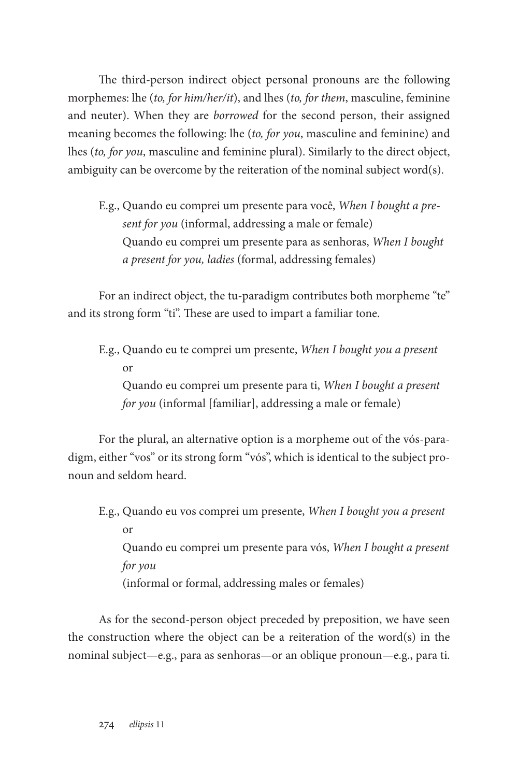The third-person indirect object personal pronouns are the following morphemes: lhe (*to, for him/her/it*), and lhes (*to, for them*, masculine, feminine and neuter). When they are *borrowed* for the second person, their assigned meaning becomes the following: lhe (*to, for you*, masculine and feminine) and lhes (*to, for you*, masculine and feminine plural). Similarly to the direct object, ambiguity can be overcome by the reiteration of the nominal subject word(s).

E.g., Quando eu comprei um presente para você, *When I bought a present for you* (informal, addressing a male or female) Quando eu comprei um presente para as senhoras, *When I bought a present for you, ladies* (formal, addressing females)

For an indirect object, the tu-paradigm contributes both morpheme "te" and its strong form "ti". These are used to impart a familiar tone.

E.g., Quando eu te comprei um presente, *When I bought you a present* or Quando eu comprei um presente para ti, *When I bought a present for you* (informal [familiar], addressing a male or female)

For the plural, an alternative option is a morpheme out of the vós-paradigm, either "vos" or its strong form "vós", which is identical to the subject pronoun and seldom heard.

E.g., Quando eu vos comprei um presente, *When I bought you a present* or Quando eu comprei um presente para vós, *When I bought a present for you*  (informal or formal, addressing males or females)

As for the second-person object preceded by preposition, we have seen the construction where the object can be a reiteration of the word(s) in the nominal subject—e.g., para as senhoras—or an oblique pronoun—e.g., para ti.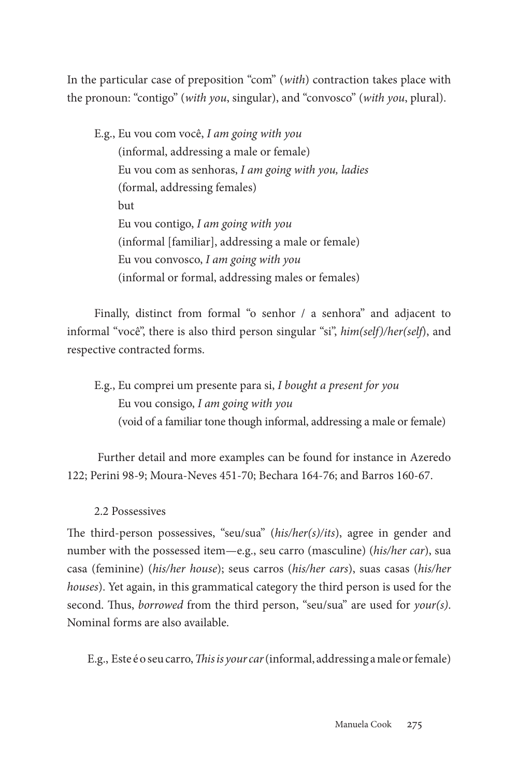In the particular case of preposition "com" (*with*) contraction takes place with the pronoun: "contigo" (*with you*, singular), and "convosco" (*with you*, plural).

E.g., Eu vou com você, *I am going with you* (informal, addressing a male or female) Eu vou com as senhoras, *I am going with you, ladies* (formal, addressing females) but Eu vou contigo, *I am going with you* (informal [familiar], addressing a male or female) Eu vou convosco, *I am going with you*  (informal or formal, addressing males or females)

Finally, distinct from formal "o senhor / a senhora" and adjacent to informal "você", there is also third person singular "si", *him(self)/her(self*), and respective contracted forms.

E.g., Eu comprei um presente para si, *I bought a present for you* Eu vou consigo, *I am going with you* (void of a familiar tone though informal, addressing a male or female)

Further detail and more examples can be found for instance in Azeredo 122; Perini 98-9; Moura-Neves 451-70; Bechara 164-76; and Barros 160-67.

2.2 Possessives

The third-person possessives, "seu/sua" (*his/her(s)/its*), agree in gender and number with the possessed item—e.g., seu carro (masculine) (*his/her car*), sua casa (feminine) (*his/her house*); seus carros (*his/her cars*), suas casas (*his/her houses*). Yet again, in this grammatical category the third person is used for the second. Thus, *borrowed* from the third person, "seu/sua" are used for *your(s)*. Nominal forms are also available.

E.g., Este é o seu carro, *This is your car* (informal, addressing a male or female)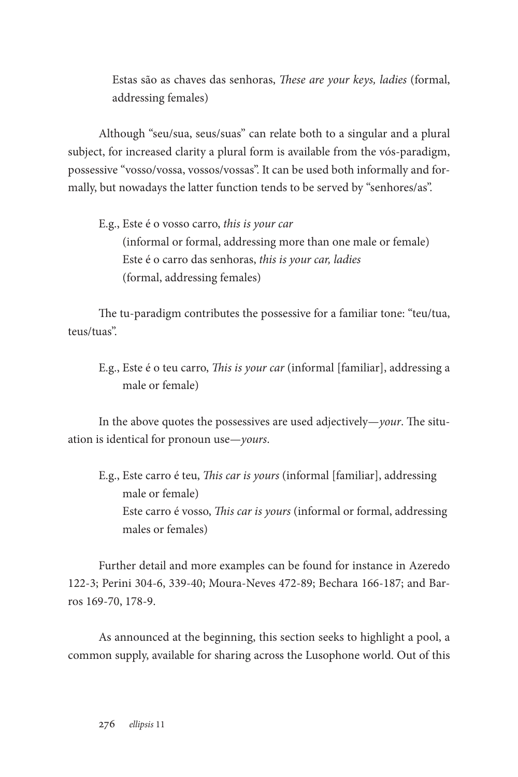Estas são as chaves das senhoras, *These are your keys, ladies* (formal, addressing females)

Although "seu/sua, seus/suas" can relate both to a singular and a plural subject, for increased clarity a plural form is available from the vós-paradigm, possessive "vosso/vossa, vossos/vossas". It can be used both informally and formally, but nowadays the latter function tends to be served by "senhores/as".

E.g., Este é o vosso carro, *this is your car* (informal or formal, addressing more than one male or female) Este é o carro das senhoras, *this is your car, ladies* (formal, addressing females)

The tu-paradigm contributes the possessive for a familiar tone: "teu/tua, teus/tuas".

E.g., Este é o teu carro, *This is your car* (informal [familiar], addressing a male or female)

In the above quotes the possessives are used adjectively—*your*. The situation is identical for pronoun use—*yours*.

E.g., Este carro é teu, *This car is yours* (informal [familiar], addressing male or female) Este carro é vosso, *This car is yours* (informal or formal, addressing males or females)

Further detail and more examples can be found for instance in Azeredo 122-3; Perini 304-6, 339-40; Moura-Neves 472-89; Bechara 166-187; and Barros 169-70, 178-9.

As announced at the beginning, this section seeks to highlight a pool, a common supply, available for sharing across the Lusophone world. Out of this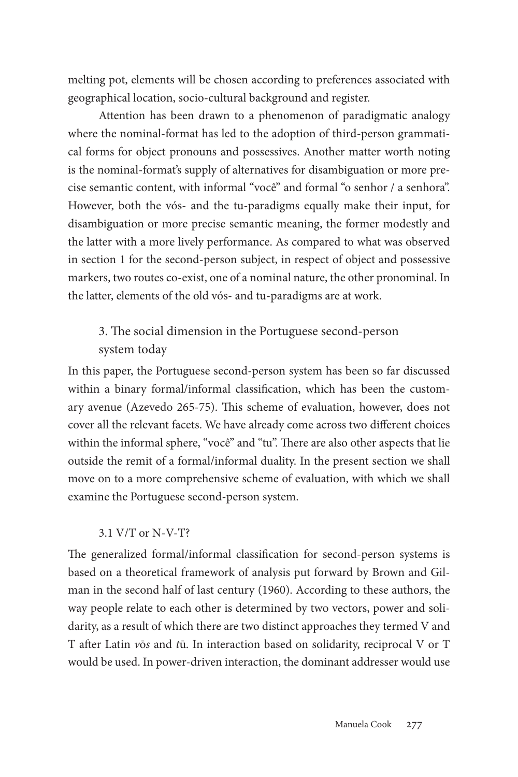melting pot, elements will be chosen according to preferences associated with geographical location, socio-cultural background and register.

Attention has been drawn to a phenomenon of paradigmatic analogy where the nominal-format has led to the adoption of third-person grammatical forms for object pronouns and possessives. Another matter worth noting is the nominal-format's supply of alternatives for disambiguation or more precise semantic content, with informal "você" and formal "o senhor / a senhora". However, both the vós- and the tu-paradigms equally make their input, for disambiguation or more precise semantic meaning, the former modestly and the latter with a more lively performance. As compared to what was observed in section 1 for the second-person subject, in respect of object and possessive markers, two routes co-exist, one of a nominal nature, the other pronominal. In the latter, elements of the old vós- and tu-paradigms are at work.

# 3. The social dimension in the Portuguese second-person system today

In this paper, the Portuguese second-person system has been so far discussed within a binary formal/informal classification, which has been the customary avenue (Azevedo 265-75). This scheme of evaluation, however, does not cover all the relevant facets. We have already come across two different choices within the informal sphere, "você" and "tu". There are also other aspects that lie outside the remit of a formal/informal duality. In the present section we shall move on to a more comprehensive scheme of evaluation, with which we shall examine the Portuguese second-person system.

### 3.1 V/T or N-V-T?

The generalized formal/informal classification for second-person systems is based on a theoretical framework of analysis put forward by Brown and Gilman in the second half of last century (1960). According to these authors, the way people relate to each other is determined by two vectors, power and solidarity, as a result of which there are two distinct approaches they termed V and T after Latin *v*ō*s* and *t*ū. In interaction based on solidarity, reciprocal V or T would be used. In power-driven interaction, the dominant addresser would use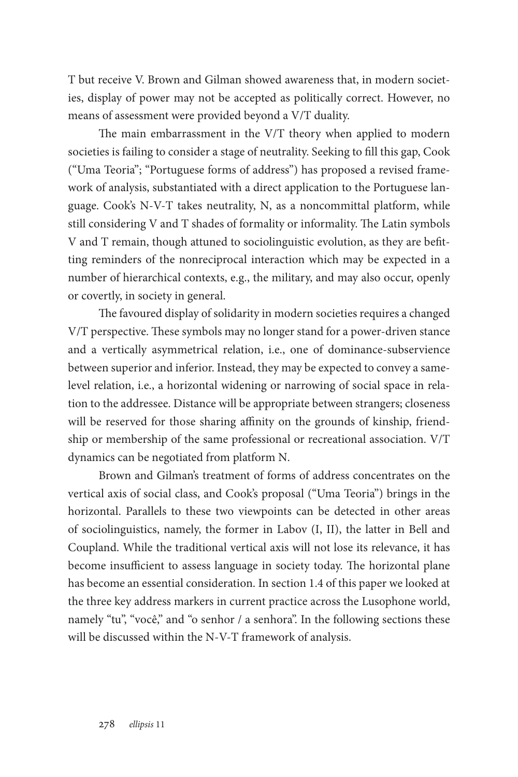T but receive V. Brown and Gilman showed awareness that, in modern societies, display of power may not be accepted as politically correct. However, no means of assessment were provided beyond a V/T duality.

The main embarrassment in the V/T theory when applied to modern societies is failing to consider a stage of neutrality. Seeking to fill this gap, Cook ("Uma Teoria"; "Portuguese forms of address") has proposed a revised framework of analysis, substantiated with a direct application to the Portuguese language. Cook's N-V-T takes neutrality, N, as a noncommittal platform, while still considering V and T shades of formality or informality. The Latin symbols V and T remain, though attuned to sociolinguistic evolution, as they are befitting reminders of the nonreciprocal interaction which may be expected in a number of hierarchical contexts, e.g., the military, and may also occur, openly or covertly, in society in general.

The favoured display of solidarity in modern societies requires a changed V/T perspective. These symbols may no longer stand for a power-driven stance and a vertically asymmetrical relation, i.e., one of dominance-subservience between superior and inferior. Instead, they may be expected to convey a samelevel relation, i.e., a horizontal widening or narrowing of social space in relation to the addressee. Distance will be appropriate between strangers; closeness will be reserved for those sharing affinity on the grounds of kinship, friendship or membership of the same professional or recreational association. V/T dynamics can be negotiated from platform N.

Brown and Gilman's treatment of forms of address concentrates on the vertical axis of social class, and Cook's proposal ("Uma Teoria") brings in the horizontal. Parallels to these two viewpoints can be detected in other areas of sociolinguistics, namely, the former in Labov (I, II), the latter in Bell and Coupland. While the traditional vertical axis will not lose its relevance, it has become insufficient to assess language in society today. The horizontal plane has become an essential consideration. In section 1.4 of this paper we looked at the three key address markers in current practice across the Lusophone world, namely "tu", "você," and "o senhor / a senhora". In the following sections these will be discussed within the N-V-T framework of analysis.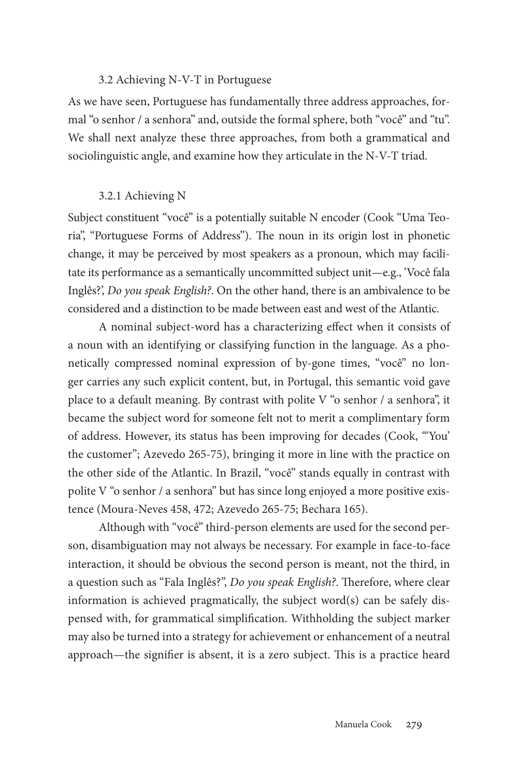#### 3.2 Achieving N-V-T in Portuguese

As we have seen, Portuguese has fundamentally three address approaches, formal "o senhor / a senhora" and, outside the formal sphere, both "você" and "tu". We shall next analyze these three approaches, from both a grammatical and sociolinguistic angle, and examine how they articulate in the N-V-T triad.

### 3.2.1 Achieving N

Subject constituent "você" is a potentially suitable N encoder (Cook "Uma Teoria", "Portuguese Forms of Address"). The noun in its origin lost in phonetic change, it may be perceived by most speakers as a pronoun, which may facilitate its performance as a semantically uncommitted subject unit—e.g., 'Você fala Inglês?', *Do you speak English?*. On the other hand, there is an ambivalence to be considered and a distinction to be made between east and west of the Atlantic.

A nominal subject-word has a characterizing effect when it consists of a noun with an identifying or classifying function in the language. As a phonetically compressed nominal expression of by-gone times, "você" no longer carries any such explicit content, but, in Portugal, this semantic void gave place to a default meaning. By contrast with polite V "o senhor / a senhora", it became the subject word for someone felt not to merit a complimentary form of address. However, its status has been improving for decades (Cook, "'You' the customer"; Azevedo 265-75), bringing it more in line with the practice on the other side of the Atlantic. In Brazil, "você" stands equally in contrast with polite V "o senhor / a senhora" but has since long enjoyed a more positive existence (Moura-Neves 458, 472; Azevedo 265-75; Bechara 165).

Although with "você" third-person elements are used for the second person, disambiguation may not always be necessary. For example in face-to-face interaction, it should be obvious the second person is meant, not the third, in a question such as "Fala Inglês?", *Do you speak English?*. Therefore, where clear information is achieved pragmatically, the subject word(s) can be safely dispensed with, for grammatical simplification. Withholding the subject marker may also be turned into a strategy for achievement or enhancement of a neutral approach—the signifier is absent, it is a zero subject. This is a practice heard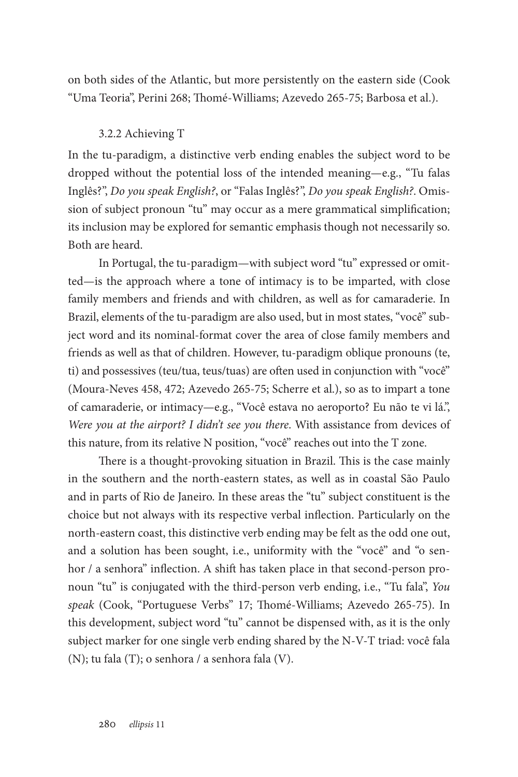on both sides of the Atlantic, but more persistently on the eastern side (Cook "Uma Teoria", Perini 268; Thomé-Williams; Azevedo 265-75; Barbosa et al.).

#### 3.2.2 Achieving T

In the tu-paradigm, a distinctive verb ending enables the subject word to be dropped without the potential loss of the intended meaning—e.g., "Tu falas Inglês?", *Do you speak English?*, or "Falas Inglês?", *Do you speak English?*. Omission of subject pronoun "tu" may occur as a mere grammatical simplification; its inclusion may be explored for semantic emphasis though not necessarily so. Both are heard.

In Portugal, the tu-paradigm—with subject word "tu" expressed or omitted—is the approach where a tone of intimacy is to be imparted, with close family members and friends and with children, as well as for camaraderie. In Brazil, elements of the tu-paradigm are also used, but in most states, "você" subject word and its nominal-format cover the area of close family members and friends as well as that of children. However, tu-paradigm oblique pronouns (te, ti) and possessives (teu/tua, teus/tuas) are often used in conjunction with "você" (Moura-Neves 458, 472; Azevedo 265-75; Scherre et al.), so as to impart a tone of camaraderie, or intimacy—e.g., "Você estava no aeroporto? Eu não te vi lá.", *Were you at the airport? I didn't see you there*. With assistance from devices of this nature, from its relative N position, "você" reaches out into the T zone.

There is a thought-provoking situation in Brazil. This is the case mainly in the southern and the north-eastern states, as well as in coastal São Paulo and in parts of Rio de Janeiro. In these areas the "tu" subject constituent is the choice but not always with its respective verbal inflection. Particularly on the north-eastern coast, this distinctive verb ending may be felt as the odd one out, and a solution has been sought, i.e., uniformity with the "você" and "o senhor / a senhora" inflection. A shift has taken place in that second-person pronoun "tu" is conjugated with the third-person verb ending, i.e., "Tu fala", *You speak* (Cook, "Portuguese Verbs" 17; Thomé-Williams; Azevedo 265-75). In this development, subject word "tu" cannot be dispensed with, as it is the only subject marker for one single verb ending shared by the N-V-T triad: você fala (N); tu fala (T); o senhora / a senhora fala (V).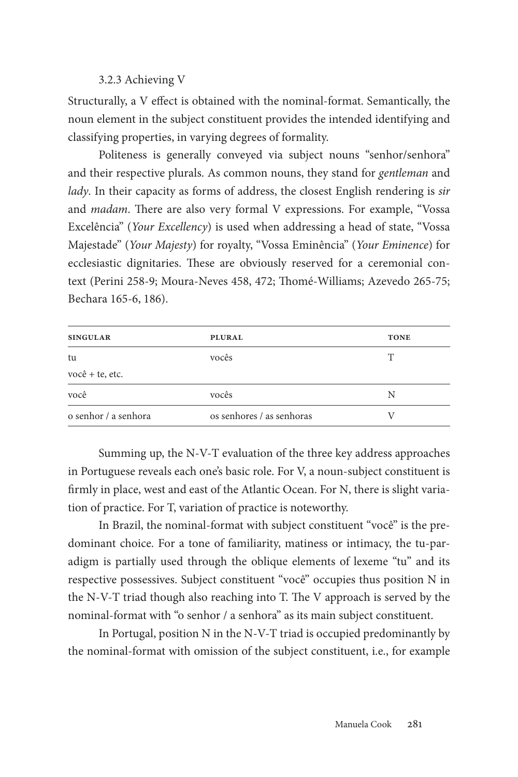#### 3.2.3 Achieving V

Structurally, a V effect is obtained with the nominal-format. Semantically, the noun element in the subject constituent provides the intended identifying and classifying properties, in varying degrees of formality.

Politeness is generally conveyed via subject nouns "senhor/senhora" and their respective plurals. As common nouns, they stand for *gentleman* and *lady*. In their capacity as forms of address, the closest English rendering is *sir* and *madam*. There are also very formal V expressions. For example, "Vossa Excelência" (*Your Excellency*) is used when addressing a head of state, "Vossa Majestade" (*Your Majesty*) for royalty, "Vossa Eminência" (*Your Eminence*) for ecclesiastic dignitaries. These are obviously reserved for a ceremonial context (Perini 258-9; Moura-Neves 458, 472; Thomé-Williams; Azevedo 265-75; Bechara 165-6, 186).

| <b>SINGULAR</b>      | <b>PLURAL</b>             | <b>TONE</b> |
|----------------------|---------------------------|-------------|
| tu                   | vocês                     | Ͳ           |
| você + te, etc.      |                           |             |
| você                 | vocês                     | N           |
| o senhor / a senhora | os senhores / as senhoras |             |

Summing up, the N-V-T evaluation of the three key address approaches in Portuguese reveals each one's basic role. For V, a noun-subject constituent is firmly in place, west and east of the Atlantic Ocean. For N, there is slight variation of practice. For T, variation of practice is noteworthy.

In Brazil, the nominal-format with subject constituent "você" is the predominant choice. For a tone of familiarity, matiness or intimacy, the tu-paradigm is partially used through the oblique elements of lexeme "tu" and its respective possessives. Subject constituent "você" occupies thus position N in the N-V-T triad though also reaching into T. The V approach is served by the nominal-format with "o senhor / a senhora" as its main subject constituent.

In Portugal, position N in the N-V-T triad is occupied predominantly by the nominal-format with omission of the subject constituent, i.e., for example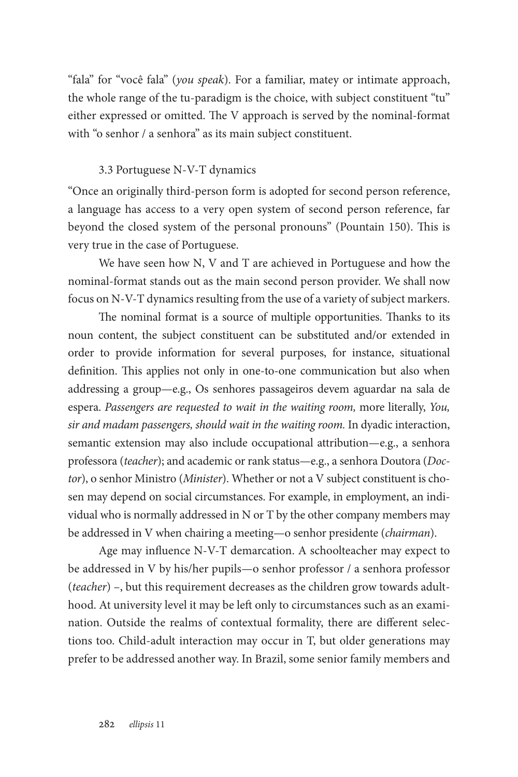"fala" for "você fala" (*you speak*). For a familiar, matey or intimate approach, the whole range of the tu-paradigm is the choice, with subject constituent "tu" either expressed or omitted. The V approach is served by the nominal-format with "o senhor / a senhora" as its main subject constituent.

#### 3.3 Portuguese N-V-T dynamics

"Once an originally third-person form is adopted for second person reference, a language has access to a very open system of second person reference, far beyond the closed system of the personal pronouns" (Pountain 150). This is very true in the case of Portuguese.

We have seen how N, V and T are achieved in Portuguese and how the nominal-format stands out as the main second person provider. We shall now focus on N-V-T dynamics resulting from the use of a variety of subject markers.

The nominal format is a source of multiple opportunities. Thanks to its noun content, the subject constituent can be substituted and/or extended in order to provide information for several purposes, for instance, situational definition. This applies not only in one-to-one communication but also when addressing a group—e.g., Os senhores passageiros devem aguardar na sala de espera. *Passengers are requested to wait in the waiting room,* more literally, *You, sir and madam passengers, should wait in the waiting room.* In dyadic interaction, semantic extension may also include occupational attribution—e.g., a senhora professora (*teacher*); and academic or rank status—e.g., a senhora Doutora (*Doctor*), o senhor Ministro (*Minister*). Whether or not a V subject constituent is chosen may depend on social circumstances. For example, in employment, an individual who is normally addressed in N or T by the other company members may be addressed in V when chairing a meeting—o senhor presidente (*chairman*).

Age may influence N-V-T demarcation. A schoolteacher may expect to be addressed in V by his/her pupils—o senhor professor / a senhora professor (*teacher*) –, but this requirement decreases as the children grow towards adulthood. At university level it may be left only to circumstances such as an examination. Outside the realms of contextual formality, there are different selections too. Child-adult interaction may occur in T, but older generations may prefer to be addressed another way. In Brazil, some senior family members and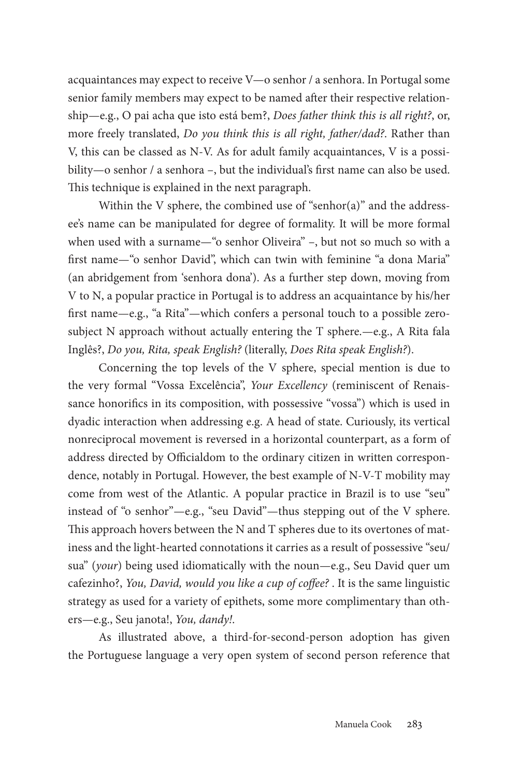acquaintances may expect to receive V—o senhor / a senhora. In Portugal some senior family members may expect to be named after their respective relationship—e.g., O pai acha que isto está bem?, *Does father think this is all right?*, or, more freely translated, *Do you think this is all right, father/dad?*. Rather than V, this can be classed as N-V. As for adult family acquaintances, V is a possibility—o senhor / a senhora –, but the individual's first name can also be used. This technique is explained in the next paragraph.

Within the V sphere, the combined use of "senhor(a)" and the addressee's name can be manipulated for degree of formality. It will be more formal when used with a surname—"o senhor Oliveira" –, but not so much so with a first name—"o senhor David", which can twin with feminine "a dona Maria" (an abridgement from 'senhora dona'). As a further step down, moving from V to N, a popular practice in Portugal is to address an acquaintance by his/her first name—e.g., "a Rita"—which confers a personal touch to a possible zerosubject N approach without actually entering the T sphere.—e.g., A Rita fala Inglês?, *Do you, Rita, speak English?* (literally, *Does Rita speak English?*).

Concerning the top levels of the V sphere, special mention is due to the very formal "Vossa Excelência", *Your Excellency* (reminiscent of Renaissance honorifics in its composition, with possessive "vossa") which is used in dyadic interaction when addressing e.g. A head of state. Curiously, its vertical nonreciprocal movement is reversed in a horizontal counterpart, as a form of address directed by Officialdom to the ordinary citizen in written correspondence, notably in Portugal. However, the best example of N-V-T mobility may come from west of the Atlantic. A popular practice in Brazil is to use "seu" instead of "o senhor"—e.g., "seu David"—thus stepping out of the V sphere. This approach hovers between the N and T spheres due to its overtones of matiness and the light-hearted connotations it carries as a result of possessive "seu/ sua" (*your*) being used idiomatically with the noun—e.g., Seu David quer um cafezinho?, *You, David, would you like a cup of coffee?* . It is the same linguistic strategy as used for a variety of epithets, some more complimentary than others—e.g., Seu janota!, *You, dandy!*.

As illustrated above, a third-for-second-person adoption has given the Portuguese language a very open system of second person reference that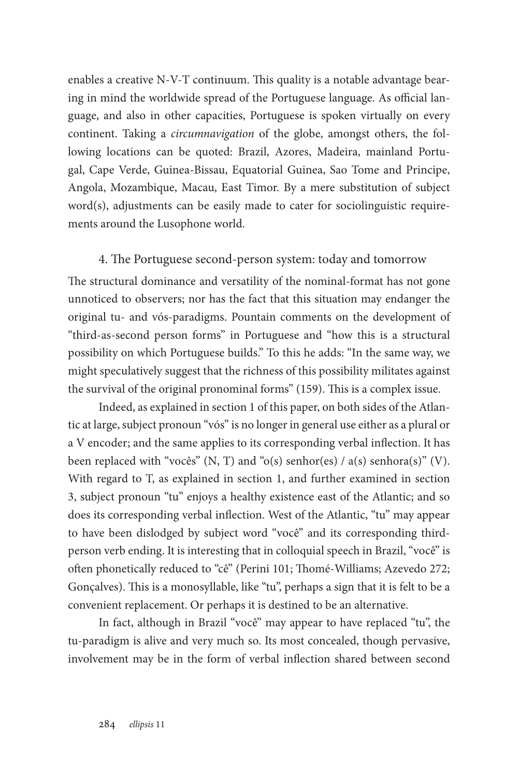enables a creative N-V-T continuum. This quality is a notable advantage bearing in mind the worldwide spread of the Portuguese language. As official language, and also in other capacities, Portuguese is spoken virtually on every continent. Taking a *circumnavigation* of the globe, amongst others, the following locations can be quoted: Brazil, Azores, Madeira, mainland Portugal, Cape Verde, Guinea-Bissau, Equatorial Guinea, Sao Tome and Principe, Angola, Mozambique, Macau, East Timor. By a mere substitution of subject word(s), adjustments can be easily made to cater for sociolinguistic requirements around the Lusophone world.

# 4. The Portuguese second-person system: today and tomorrow

The structural dominance and versatility of the nominal-format has not gone unnoticed to observers; nor has the fact that this situation may endanger the original tu- and vós-paradigms. Pountain comments on the development of "third-as-second person forms" in Portuguese and "how this is a structural possibility on which Portuguese builds." To this he adds: "In the same way, we might speculatively suggest that the richness of this possibility militates against the survival of the original pronominal forms" (159). This is a complex issue.

Indeed, as explained in section 1 of this paper, on both sides of the Atlantic at large, subject pronoun "vós" is no longer in general use either as a plural or a V encoder; and the same applies to its corresponding verbal inflection. It has been replaced with "vocês" (N, T) and "o(s) senhor(es)  $/$  a(s) senhora(s)" (V). With regard to T, as explained in section 1, and further examined in section 3, subject pronoun "tu" enjoys a healthy existence east of the Atlantic; and so does its corresponding verbal inflection. West of the Atlantic, "tu" may appear to have been dislodged by subject word "você" and its corresponding thirdperson verb ending. It is interesting that in colloquial speech in Brazil, "você" is often phonetically reduced to "cê" (Perini 101; Thomé-Williams; Azevedo 272; Gonçalves). This is a monosyllable, like "tu", perhaps a sign that it is felt to be a convenient replacement. Or perhaps it is destined to be an alternative.

In fact, although in Brazil "você" may appear to have replaced "tu", the tu-paradigm is alive and very much so. Its most concealed, though pervasive, involvement may be in the form of verbal inflection shared between second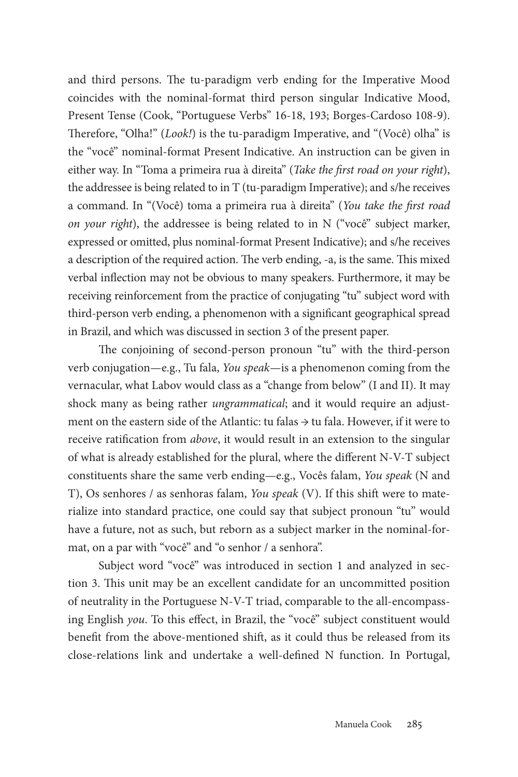and third persons. The tu-paradigm verb ending for the Imperative Mood coincides with the nominal-format third person singular Indicative Mood, Present Tense (Cook, "Portuguese Verbs" 16-18, 193; Borges-Cardoso 108-9). Therefore, "Olha!" (*Look!*) is the tu-paradigm Imperative, and "(Você) olha" is the "você" nominal-format Present Indicative. An instruction can be given in either way. In "Toma a primeira rua à direita" (*Take the first road on your right*), the addressee is being related to in T (tu-paradigm Imperative); and s/he receives a command. In "(Você) toma a primeira rua à direita" (*You take the first road on your right*), the addressee is being related to in N ("você" subject marker, expressed or omitted, plus nominal-format Present Indicative); and s/he receives a description of the required action. The verb ending, -a, is the same. This mixed verbal inflection may not be obvious to many speakers. Furthermore, it may be receiving reinforcement from the practice of conjugating "tu" subject word with third-person verb ending, a phenomenon with a significant geographical spread in Brazil, and which was discussed in section 3 of the present paper.

The conjoining of second-person pronoun "tu" with the third-person verb conjugation—e.g., Tu fala, *You speak*—is a phenomenon coming from the vernacular, what Labov would class as a "change from below" (I and II). It may shock many as being rather *ungrammatical*; and it would require an adjustment on the eastern side of the Atlantic: tu falas → tu fala. However, if it were to receive ratification from *above*, it would result in an extension to the singular of what is already established for the plural, where the different N-V-T subject constituents share the same verb ending—e.g., Vocês falam, *You speak* (N and T), Os senhores / as senhoras falam, *You speak* (V). If this shift were to materialize into standard practice, one could say that subject pronoun "tu" would have a future, not as such, but reborn as a subject marker in the nominal-format, on a par with "você" and "o senhor / a senhora".

Subject word "você" was introduced in section 1 and analyzed in section 3. This unit may be an excellent candidate for an uncommitted position of neutrality in the Portuguese N-V-T triad, comparable to the all-encompassing English *you*. To this effect, in Brazil, the "você" subject constituent would benefit from the above-mentioned shift, as it could thus be released from its close-relations link and undertake a well-defined N function. In Portugal,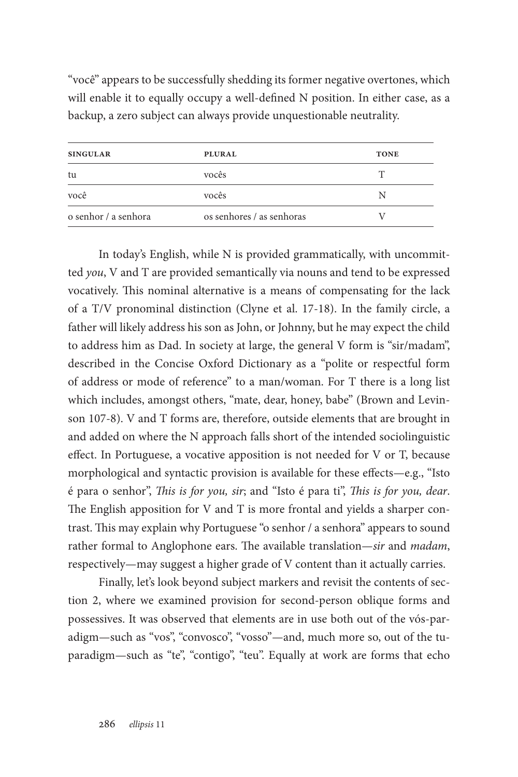"você" appears to be successfully shedding its former negative overtones, which will enable it to equally occupy a well-defined N position. In either case, as a backup, a zero subject can always provide unquestionable neutrality.

| <b>SINGULAR</b>      | <b>PLURAL</b>             | <b>TONE</b> |
|----------------------|---------------------------|-------------|
|                      |                           |             |
| tu                   | vocês                     |             |
| você                 | vocês                     | N           |
| o senhor / a senhora | os senhores / as senhoras |             |

In today's English, while N is provided grammatically, with uncommitted *you*, V and T are provided semantically via nouns and tend to be expressed vocatively. This nominal alternative is a means of compensating for the lack of a T/V pronominal distinction (Clyne et al. 17-18). In the family circle, a father will likely address his son as John, or Johnny, but he may expect the child to address him as Dad. In society at large, the general V form is "sir/madam", described in the Concise Oxford Dictionary as a "polite or respectful form of address or mode of reference" to a man/woman. For T there is a long list which includes, amongst others, "mate, dear, honey, babe" (Brown and Levinson 107-8). V and T forms are, therefore, outside elements that are brought in and added on where the N approach falls short of the intended sociolinguistic effect. In Portuguese, a vocative apposition is not needed for V or T, because morphological and syntactic provision is available for these effects—e.g., "Isto é para o senhor", *This is for you, sir*; and "Isto é para ti", *This is for you, dear*. The English apposition for V and T is more frontal and yields a sharper contrast. This may explain why Portuguese "o senhor / a senhora" appears to sound rather formal to Anglophone ears. The available translation—*sir* and *madam*, respectively—may suggest a higher grade of V content than it actually carries.

Finally, let's look beyond subject markers and revisit the contents of section 2, where we examined provision for second-person oblique forms and possessives. It was observed that elements are in use both out of the vós-paradigm—such as "vos", "convosco", "vosso"—and, much more so, out of the tuparadigm—such as "te", "contigo", "teu". Equally at work are forms that echo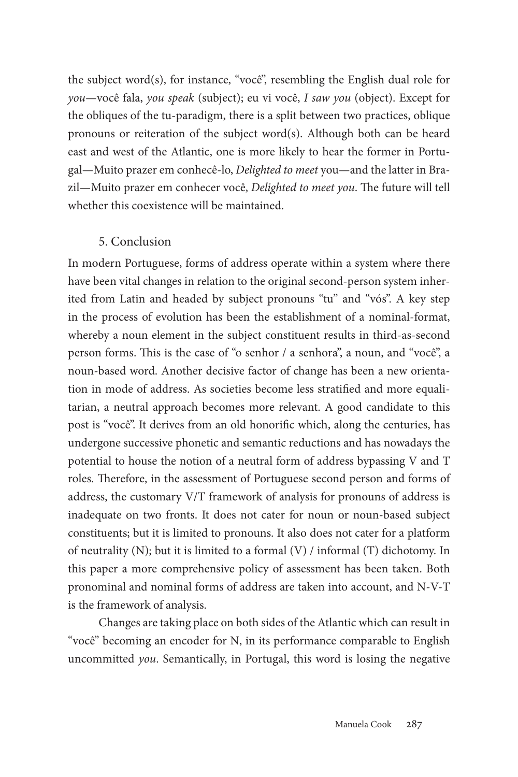the subject word(s), for instance, "você", resembling the English dual role for *you*—você fala, *you speak* (subject); eu vi você, *I saw you* (object). Except for the obliques of the tu-paradigm, there is a split between two practices, oblique pronouns or reiteration of the subject word(s). Although both can be heard east and west of the Atlantic, one is more likely to hear the former in Portugal—Muito prazer em conhecê-lo, *Delighted to meet* you—and the latter in Brazil—Muito prazer em conhecer você, *Delighted to meet you*. The future will tell whether this coexistence will be maintained.

### 5. Conclusion

In modern Portuguese, forms of address operate within a system where there have been vital changes in relation to the original second-person system inherited from Latin and headed by subject pronouns "tu" and "vós". A key step in the process of evolution has been the establishment of a nominal-format, whereby a noun element in the subject constituent results in third-as-second person forms. This is the case of "o senhor / a senhora", a noun, and "você", a noun-based word. Another decisive factor of change has been a new orientation in mode of address. As societies become less stratified and more equalitarian, a neutral approach becomes more relevant. A good candidate to this post is "você". It derives from an old honorific which, along the centuries, has undergone successive phonetic and semantic reductions and has nowadays the potential to house the notion of a neutral form of address bypassing V and T roles. Therefore, in the assessment of Portuguese second person and forms of address, the customary V/T framework of analysis for pronouns of address is inadequate on two fronts. It does not cater for noun or noun-based subject constituents; but it is limited to pronouns. It also does not cater for a platform of neutrality (N); but it is limited to a formal (V) / informal (T) dichotomy. In this paper a more comprehensive policy of assessment has been taken. Both pronominal and nominal forms of address are taken into account, and N-V-T is the framework of analysis.

Changes are taking place on both sides of the Atlantic which can result in "você" becoming an encoder for N, in its performance comparable to English uncommitted *you*. Semantically, in Portugal, this word is losing the negative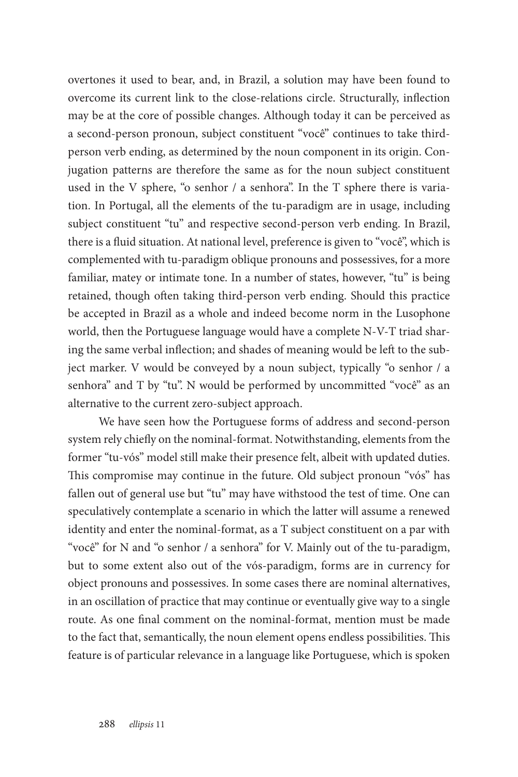overtones it used to bear, and, in Brazil, a solution may have been found to overcome its current link to the close-relations circle. Structurally, inflection may be at the core of possible changes. Although today it can be perceived as a second-person pronoun, subject constituent "você" continues to take thirdperson verb ending, as determined by the noun component in its origin. Conjugation patterns are therefore the same as for the noun subject constituent used in the V sphere, "o senhor / a senhora". In the T sphere there is variation. In Portugal, all the elements of the tu-paradigm are in usage, including subject constituent "tu" and respective second-person verb ending. In Brazil, there is a fluid situation. At national level, preference is given to "você", which is complemented with tu-paradigm oblique pronouns and possessives, for a more familiar, matey or intimate tone. In a number of states, however, "tu" is being retained, though often taking third-person verb ending. Should this practice be accepted in Brazil as a whole and indeed become norm in the Lusophone world, then the Portuguese language would have a complete N-V-T triad sharing the same verbal inflection; and shades of meaning would be left to the subject marker. V would be conveyed by a noun subject, typically "o senhor / a senhora" and T by "tu". N would be performed by uncommitted "você" as an alternative to the current zero-subject approach.

We have seen how the Portuguese forms of address and second-person system rely chiefly on the nominal-format. Notwithstanding, elements from the former "tu-vós" model still make their presence felt, albeit with updated duties. This compromise may continue in the future. Old subject pronoun "vós" has fallen out of general use but "tu" may have withstood the test of time. One can speculatively contemplate a scenario in which the latter will assume a renewed identity and enter the nominal-format, as a T subject constituent on a par with "você" for N and "o senhor / a senhora" for V. Mainly out of the tu-paradigm, but to some extent also out of the vós-paradigm, forms are in currency for object pronouns and possessives. In some cases there are nominal alternatives, in an oscillation of practice that may continue or eventually give way to a single route. As one final comment on the nominal-format, mention must be made to the fact that, semantically, the noun element opens endless possibilities. This feature is of particular relevance in a language like Portuguese, which is spoken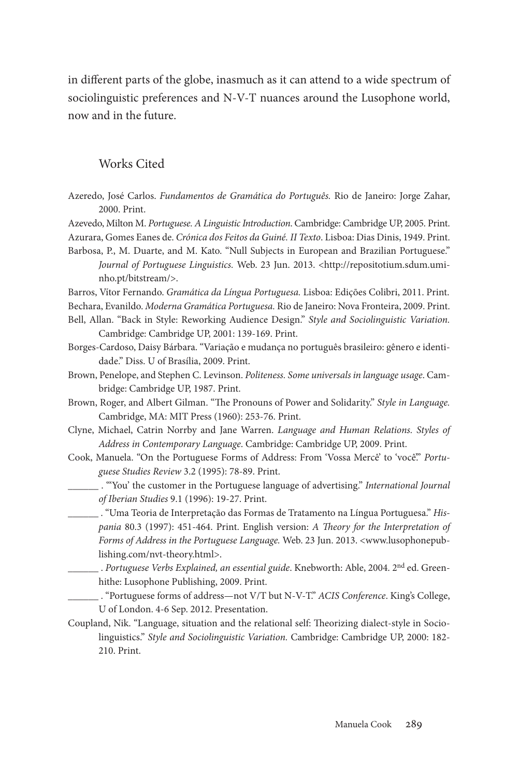in different parts of the globe, inasmuch as it can attend to a wide spectrum of sociolinguistic preferences and N-V-T nuances around the Lusophone world, now and in the future.

#### Works Cited

- Azeredo, José Carlos. *Fundamentos de Gramática do Português.* Rio de Janeiro: Jorge Zahar, 2000. Print.
- Azevedo, Milton M. *Portuguese. A Linguistic Introduction*. Cambridge: Cambridge UP, 2005. Print. Azurara, Gomes Eanes de. *Crónica dos Feitos da Guiné. II Texto*. Lisboa: Dias Dinis, 1949. Print.
- Barbosa, P., M. Duarte, and M. Kato. "Null Subjects in European and Brazilian Portuguese." *Journal of Portuguese Linguistics.* Web. 23 Jun. 2013. <http://repositotium.sdum.uminho.pt/bitstream/>.
- Barros, Vítor Fernando. *Gramática da Língua Portuguesa.* Lisboa: Edições Colibri, 2011. Print. Bechara, Evanildo. *Moderna Gramática Portuguesa.* Rio de Janeiro: Nova Fronteira, 2009. Print.
- Bell, Allan. "Back in Style: Reworking Audience Design." *Style and Sociolinguistic Variation.* Cambridge: Cambridge UP, 2001: 139-169. Print.
- Borges-Cardoso, Daisy Bárbara. "Variação e mudança no português brasileiro: gênero e identidade." Diss. U of Brasília, 2009. Print.
- Brown, Penelope, and Stephen C. Levinson. *Politeness. Some universals in language usage*. Cambridge: Cambridge UP, 1987. Print.
- Brown, Roger, and Albert Gilman. "The Pronouns of Power and Solidarity." *Style in Language.* Cambridge, MA: MIT Press (1960): 253-76. Print.
- Clyne, Michael, Catrin Norrby and Jane Warren. *Language and Human Relations. Styles of Address in Contemporary Language*. Cambridge: Cambridge UP, 2009. Print.
- Cook, Manuela. "On the Portuguese Forms of Address: From 'Vossa Mercê' to 'você'." *Portuguese Studies Review* 3.2 (1995): 78-89. Print.
	- \_\_\_\_\_\_ . "'You' the customer in the Portuguese language of advertising." *International Journal of Iberian Studies* 9.1 (1996): 19-27. Print.
		- \_\_\_\_\_\_ . "Uma Teoria de Interpretação das Formas de Tratamento na Língua Portuguesa." *Hispania* 80.3 (1997): 451-464. Print. English version: *A Theory for the Interpretation of Forms of Address in the Portuguese Language.* Web. 23 Jun. 2013. <www.lusophonepublishing.com/nvt-theory.html>.
	- \_\_\_\_\_\_ . *Portuguese Verbs Explained, an essential guide*. Knebworth: Able, 2004. 2nd ed. Greenhithe: Lusophone Publishing, 2009. Print.
		- \_\_\_\_\_\_ . "Portuguese forms of address—not V/T but N-V-T." *ACIS Conference*. King's College, U of London. 4-6 Sep. 2012. Presentation.
- Coupland, Nik. "Language, situation and the relational self: Theorizing dialect-style in Sociolinguistics." *Style and Sociolinguistic Variation.* Cambridge: Cambridge UP, 2000: 182- 210. Print.